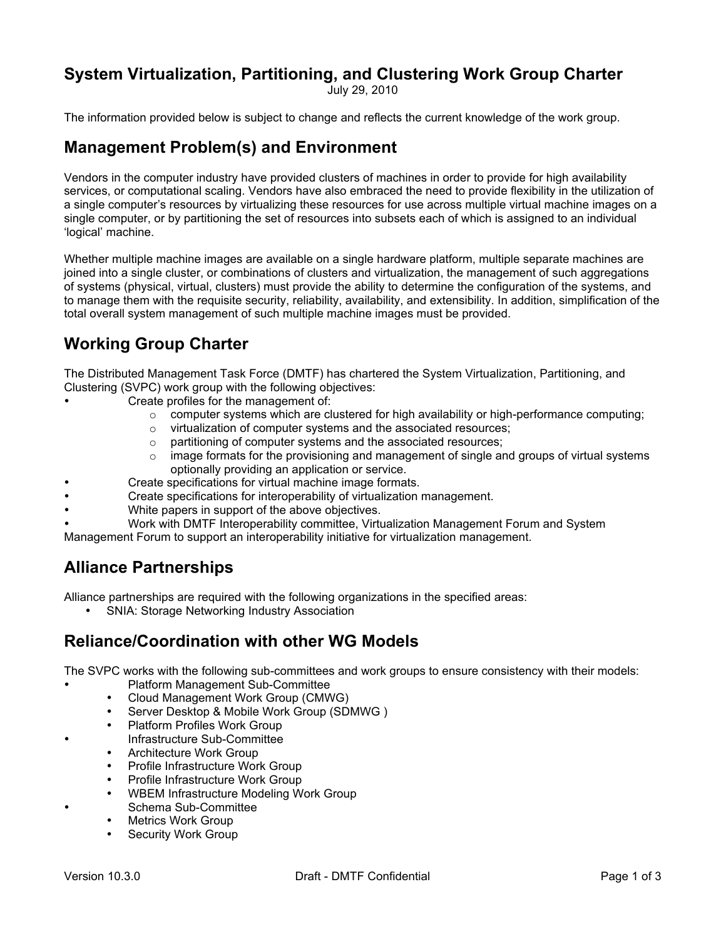# **System Virtualization, Partitioning, and Clustering Work Group Charter**

July 29, 2010

The information provided below is subject to change and reflects the current knowledge of the work group.

### **Management Problem(s) and Environment**

Vendors in the computer industry have provided clusters of machines in order to provide for high availability services, or computational scaling. Vendors have also embraced the need to provide flexibility in the utilization of a single computer's resources by virtualizing these resources for use across multiple virtual machine images on a single computer, or by partitioning the set of resources into subsets each of which is assigned to an individual 'logical' machine.

Whether multiple machine images are available on a single hardware platform, multiple separate machines are joined into a single cluster, or combinations of clusters and virtualization, the management of such aggregations of systems (physical, virtual, clusters) must provide the ability to determine the configuration of the systems, and to manage them with the requisite security, reliability, availability, and extensibility. In addition, simplification of the total overall system management of such multiple machine images must be provided.

# **Working Group Charter**

The Distributed Management Task Force (DMTF) has chartered the System Virtualization, Partitioning, and Clustering (SVPC) work group with the following objectives:

- Create profiles for the management of:
	- $\circ$  computer systems which are clustered for high availability or high-performance computing;
	- o virtualization of computer systems and the associated resources;
	- o partitioning of computer systems and the associated resources;
	- $\circ$  image formats for the provisioning and management of single and groups of virtual systems optionally providing an application or service.
	- Create specifications for virtual machine image formats.
- Create specifications for interoperability of virtualization management.
- White papers in support of the above objectives.
- Work with DMTF Interoperability committee, Virtualization Management Forum and System

Management Forum to support an interoperability initiative for virtualization management.

### **Alliance Partnerships**

Alliance partnerships are required with the following organizations in the specified areas:

• SNIA: Storage Networking Industry Association

## **Reliance/Coordination with other WG Models**

The SVPC works with the following sub-committees and work groups to ensure consistency with their models:

- Platform Management Sub-Committee
- Cloud Management Work Group (CMWG)
- Server Desktop & Mobile Work Group (SDMWG )
- Platform Profiles Work Group
- Infrastructure Sub-Committee
- Architecture Work Group
- Profile Infrastructure Work Group
- Profile Infrastructure Work Group
- WBEM Infrastructure Modeling Work Group
- Schema Sub-Committee
- Metrics Work Group
- Security Work Group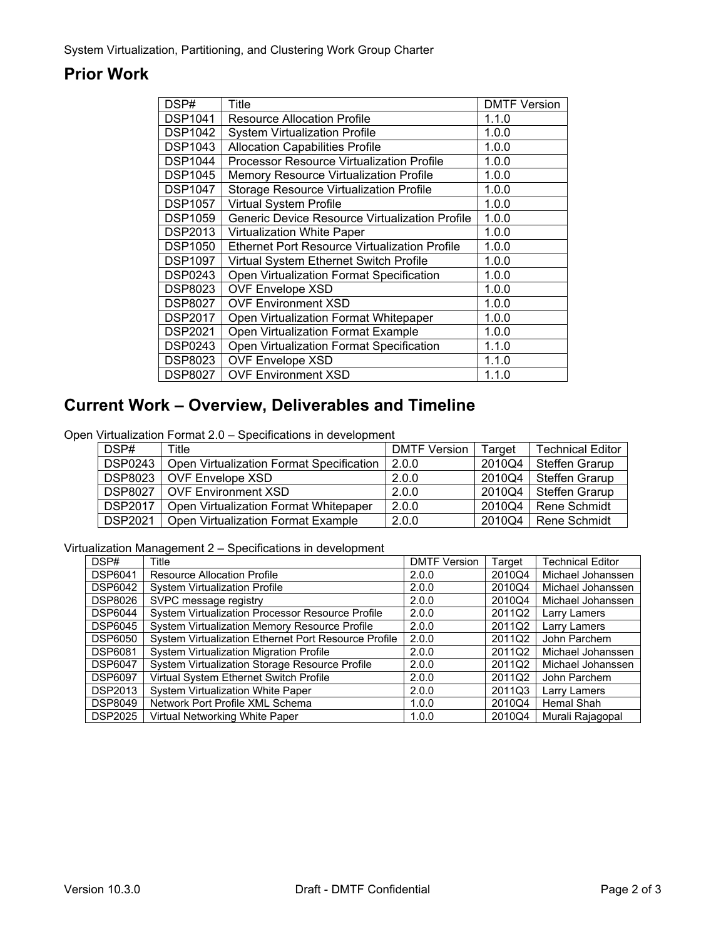# **Prior Work**

| DSP#           | Title                                            | <b>DMTF Version</b> |
|----------------|--------------------------------------------------|---------------------|
| <b>DSP1041</b> | <b>Resource Allocation Profile</b>               | 1.1.0               |
| <b>DSP1042</b> | <b>System Virtualization Profile</b>             | 1.0.0               |
| <b>DSP1043</b> | <b>Allocation Capabilities Profile</b>           | 1.0.0               |
| <b>DSP1044</b> | <b>Processor Resource Virtualization Profile</b> | 1.0.0               |
| <b>DSP1045</b> | <b>Memory Resource Virtualization Profile</b>    | 1.0.0               |
| <b>DSP1047</b> | <b>Storage Resource Virtualization Profile</b>   | 1.0.0               |
| <b>DSP1057</b> | <b>Virtual System Profile</b>                    | 1.0.0               |
| <b>DSP1059</b> | Generic Device Resource Virtualization Profile   | 1.0.0               |
| <b>DSP2013</b> | <b>Virtualization White Paper</b>                | 1.0.0               |
| <b>DSP1050</b> | Ethernet Port Resource Virtualization Profile    | 1.0.0               |
| <b>DSP1097</b> | Virtual System Ethernet Switch Profile           | 1.0.0               |
| <b>DSP0243</b> | Open Virtualization Format Specification         | 1.0.0               |
| <b>DSP8023</b> | <b>OVF Envelope XSD</b>                          | 1.0.0               |
| <b>DSP8027</b> | <b>OVF Environment XSD</b>                       | 1.0.0               |
| <b>DSP2017</b> | Open Virtualization Format Whitepaper            | 1.0.0               |
| <b>DSP2021</b> | Open Virtualization Format Example               | 1.0.0               |
| <b>DSP0243</b> | Open Virtualization Format Specification         | 1.1.0               |
| <b>DSP8023</b> | <b>OVF Envelope XSD</b>                          | 1.1.0               |
| <b>DSP8027</b> | <b>OVF Environment XSD</b>                       | 1.1.0               |

## **Current Work – Overview, Deliverables and Timeline**

Open Virtualization Format 2.0 – Specifications in development

| DSP#           | Title                                    | <b>DMTF Version</b> | Target | <b>Technical Editor</b> |
|----------------|------------------------------------------|---------------------|--------|-------------------------|
| <b>DSP0243</b> | Open Virtualization Format Specification | 2.0.0               | 2010Q4 | Steffen Grarup          |
| DSP8023        | <b>OVF Envelope XSD</b>                  | 2.0.0               | 2010Q4 | Steffen Grarup          |
| <b>DSP8027</b> | <b>OVF Environment XSD</b>               | 2.0.0               | 2010Q4 | Steffen Grarup          |
| <b>DSP2017</b> | Open Virtualization Format Whitepaper    | 2.0.0               | 2010Q4 | l Rene Schmidt          |
| <b>DSP2021</b> | Open Virtualization Format Example       | 2.0.0               | 2010Q4 | Rene Schmidt            |

#### Virtualization Management 2 – Specifications in development

| DSP#           | Title                                                | <b>DMTF Version</b> | Target | <b>Technical Editor</b> |
|----------------|------------------------------------------------------|---------------------|--------|-------------------------|
| <b>DSP6041</b> | <b>Resource Allocation Profile</b>                   | 2.0.0               | 2010Q4 | Michael Johanssen       |
| <b>DSP6042</b> | <b>System Virtualization Profile</b>                 | 2.0.0               | 2010Q4 | Michael Johanssen       |
| <b>DSP8026</b> | SVPC message registry                                | 2.0.0               | 2010Q4 | Michael Johanssen       |
| <b>DSP6044</b> | System Virtualization Processor Resource Profile     | 2.0.0               | 2011Q2 | Larry Lamers            |
| <b>DSP6045</b> | System Virtualization Memory Resource Profile        | 2.0.0               | 2011Q2 | Larry Lamers            |
| <b>DSP6050</b> | System Virtualization Ethernet Port Resource Profile | 2.0.0               | 2011Q2 | John Parchem            |
| <b>DSP6081</b> | System Virtualization Migration Profile              | 2.0.0               | 2011Q2 | Michael Johanssen       |
| <b>DSP6047</b> | System Virtualization Storage Resource Profile       | 2.0.0               | 2011Q2 | Michael Johanssen       |
| <b>DSP6097</b> | Virtual System Ethernet Switch Profile               | 2.0.0               | 2011Q2 | John Parchem            |
| <b>DSP2013</b> | System Virtualization White Paper                    | 2.0.0               | 2011Q3 | Larry Lamers            |
| <b>DSP8049</b> | Network Port Profile XML Schema                      | 1.0.0               | 2010Q4 | Hemal Shah              |
| <b>DSP2025</b> | Virtual Networking White Paper                       | 1.0.0               | 2010Q4 | Murali Rajagopal        |